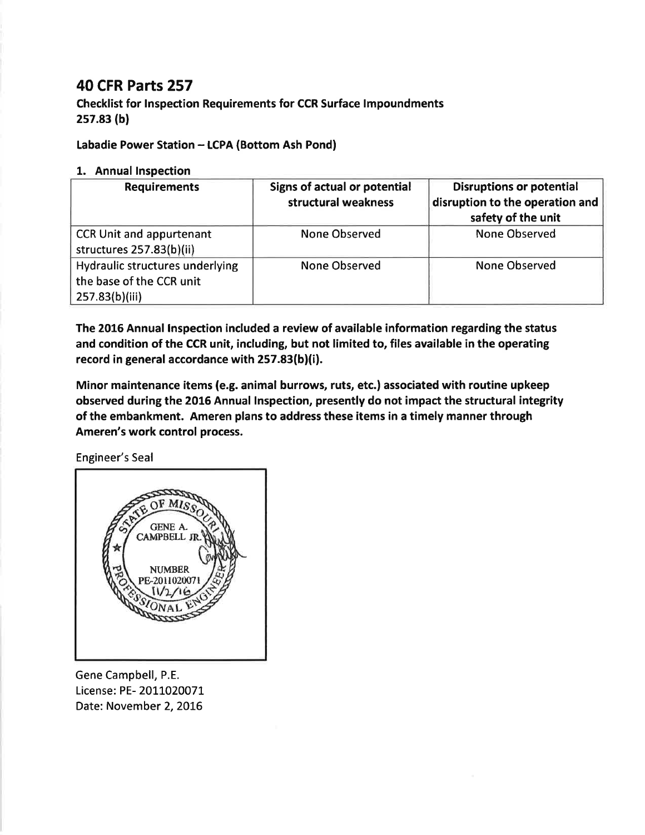## 40 CFR Parts 257

Checklist for lnspection Requirements for CCR Surface lmpoundments 2s7.83 (b)

Labadie Power Station - LCPA (Bottom Ash Pond)

## 1. Annual Inspection

| <b>Requirements</b>                                                           | Signs of actual or potential<br>structural weakness | <b>Disruptions or potential</b><br>disruption to the operation and<br>safety of the unit |
|-------------------------------------------------------------------------------|-----------------------------------------------------|------------------------------------------------------------------------------------------|
| <b>CCR Unit and appurtenant</b><br>structures 257.83(b)(ii)                   | <b>None Observed</b>                                | None Observed                                                                            |
| Hydraulic structures underlying<br>the base of the CCR unit<br>257.83(b)(iii) | <b>None Observed</b>                                | <b>None Observed</b>                                                                     |

The 2016 Annual lnspection included a review of available information regarding the status and condition of the CCR unit, including, but not limited to, files available in the operating record in general accordance with 257.83(b)(i).

Minor maintenance items (e.g. animal burrows, ruts, etc.) associated with routine upkeep observed during the 2016 Annual lnspection, presently do not impact the structural integrity of the embankment. Ameren plans to address these items in a timely manner through Ameren's work control process.

Engineer's Seal



Gene Campbell, P.E. License: PE- 2011020071 Date: November 2, 2016